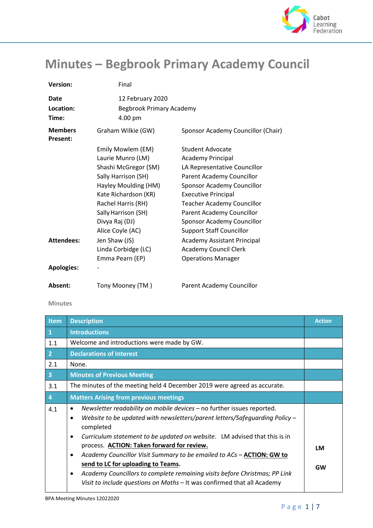

## **Minutes – Begbrook Primary Academy Council**

| <b>Version:</b>                   | Final                                                          |                                    |
|-----------------------------------|----------------------------------------------------------------|------------------------------------|
| Date<br>Location:<br>Time:        | 12 February 2020<br><b>Begbrook Primary Academy</b><br>4.00 pm |                                    |
| <b>Members</b><br><b>Present:</b> | Graham Wilkie (GW)                                             | Sponsor Academy Councillor (Chair) |
|                                   | Emily Mowlem (EM)                                              | <b>Student Advocate</b>            |
|                                   | Laurie Munro (LM)                                              | <b>Academy Principal</b>           |
|                                   | Shashi McGregor (SM)                                           | LA Representative Councillor       |
|                                   | Sally Harrison (SH)                                            | Parent Academy Councillor          |
|                                   | Hayley Moulding (HM)                                           | Sponsor Academy Councillor         |
|                                   | Kate Richardson (KR)                                           | <b>Executive Principal</b>         |
|                                   | Rachel Harris (RH)                                             | <b>Teacher Academy Councillor</b>  |
|                                   | Sally Harrison (SH)                                            | Parent Academy Councillor          |
|                                   | Divya Raj (DJ)                                                 | Sponsor Academy Councillor         |
|                                   | Alice Coyle (AC)                                               | <b>Support Staff Councillor</b>    |
| <b>Attendees:</b>                 | Jen Shaw (JS)                                                  | Academy Assistant Principal        |
|                                   | Linda Corbidge (LC)                                            | <b>Academy Council Clerk</b>       |
|                                   | Emma Pearn (EP)                                                | <b>Operations Manager</b>          |
| <b>Apologies:</b>                 |                                                                |                                    |
| Absent:                           | Tony Mooney (TM)                                               | Parent Academy Councillor          |

## **Minutes**

| Item            | <b>Description</b>                                                                                                                                                                                                                                                                                                                                                                                                                                                                                                                                                                | <b>Action</b> |
|-----------------|-----------------------------------------------------------------------------------------------------------------------------------------------------------------------------------------------------------------------------------------------------------------------------------------------------------------------------------------------------------------------------------------------------------------------------------------------------------------------------------------------------------------------------------------------------------------------------------|---------------|
| $\vert 1 \vert$ | <b>Introductions</b>                                                                                                                                                                                                                                                                                                                                                                                                                                                                                                                                                              |               |
| 1.1             | Welcome and introductions were made by GW.                                                                                                                                                                                                                                                                                                                                                                                                                                                                                                                                        |               |
| $\vert$ 2       | <b>Declarations of Interest</b>                                                                                                                                                                                                                                                                                                                                                                                                                                                                                                                                                   |               |
| 2.1             | None.                                                                                                                                                                                                                                                                                                                                                                                                                                                                                                                                                                             |               |
| $\vert$ 3       | <b>Minutes of Previous Meeting</b>                                                                                                                                                                                                                                                                                                                                                                                                                                                                                                                                                |               |
| 3.1             | The minutes of the meeting held 4 December 2019 were agreed as accurate.                                                                                                                                                                                                                                                                                                                                                                                                                                                                                                          |               |
| $\vert 4$       | <b>Matters Arising from previous meetings</b>                                                                                                                                                                                                                                                                                                                                                                                                                                                                                                                                     |               |
| 4.1             | Newsletter readability on mobile devices - no further issues reported.<br>Website to be updated with newsletters/parent letters/Safequarding Policy $-$<br>completed<br>Curriculum statement to be updated on website. LM advised that this is in<br>٠<br>process. ACTION: Taken forward for review.<br>Academy Councillor Visit Summary to be emailed to ACs - ACTION: GW to<br>٠<br>send to LC for uploading to Teams.<br>Academy Councillors to complete remaining visits before Christmas; PP Link<br>Visit to include questions on Maths - It was confirmed that all Academy | LM<br>GW      |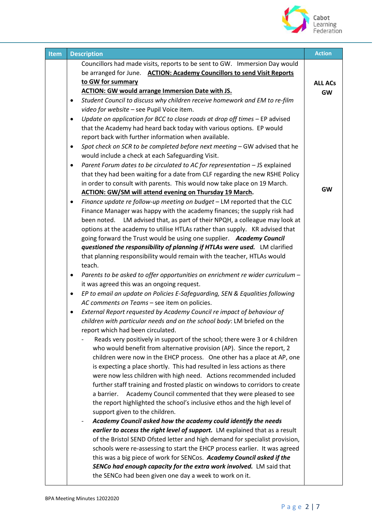

| Item | <b>Description</b>                                                                                                                              | <b>Action</b>  |
|------|-------------------------------------------------------------------------------------------------------------------------------------------------|----------------|
|      | Councillors had made visits, reports to be sent to GW. Immersion Day would                                                                      |                |
|      | be arranged for June. ACTION: Academy Councillors to send Visit Reports                                                                         |                |
|      | to GW for summary                                                                                                                               | <b>ALL ACs</b> |
|      | <b>ACTION: GW would arrange Immersion Date with JS.</b>                                                                                         | <b>GW</b>      |
|      | Student Council to discuss why children receive homework and EM to re-film<br>$\bullet$                                                         |                |
|      | video for website - see Pupil Voice item.                                                                                                       |                |
|      | Update on application for BCC to close roads at drop off times - EP advised<br>$\bullet$                                                        |                |
|      | that the Academy had heard back today with various options. EP would                                                                            |                |
|      | report back with further information when available.<br>Spot check on SCR to be completed before next meeting - GW advised that he<br>$\bullet$ |                |
|      | would include a check at each Safeguarding Visit.                                                                                               |                |
|      | Parent Forum dates to be circulated to AC for representation - JS explained<br>$\bullet$                                                        |                |
|      | that they had been waiting for a date from CLF regarding the new RSHE Policy                                                                    |                |
|      | in order to consult with parents. This would now take place on 19 March.                                                                        |                |
|      | <b>ACTION: GW/SM will attend evening on Thursday 19 March.</b>                                                                                  | <b>GW</b>      |
|      | Finance update re follow-up meeting on budget - LM reported that the CLC<br>$\bullet$                                                           |                |
|      | Finance Manager was happy with the academy finances; the supply risk had                                                                        |                |
|      | been noted. LM advised that, as part of their NPQH, a colleague may look at                                                                     |                |
|      | options at the academy to utilise HTLAs rather than supply. KR advised that                                                                     |                |
|      | going forward the Trust would be using one supplier. Academy Council                                                                            |                |
|      | questioned the responsibility of planning if HTLAs were used. LM clarified                                                                      |                |
|      | that planning responsibility would remain with the teacher, HTLAs would                                                                         |                |
|      | teach.                                                                                                                                          |                |
|      | Parents to be asked to offer opportunities on enrichment re wider curriculum -<br>٠                                                             |                |
|      | it was agreed this was an ongoing request.<br>EP to email an update on Policies E-Safeguarding, SEN & Equalities following                      |                |
|      | ٠<br>AC comments on Teams - see item on policies.                                                                                               |                |
|      | External Report requested by Academy Council re impact of behaviour of<br>$\bullet$                                                             |                |
|      | children with particular needs and on the school body: LM briefed on the                                                                        |                |
|      | report which had been circulated.                                                                                                               |                |
|      | Reads very positively in support of the school; there were 3 or 4 children                                                                      |                |
|      | who would benefit from alternative provision (AP). Since the report, 2                                                                          |                |
|      | children were now in the EHCP process. One other has a place at AP, one                                                                         |                |
|      | is expecting a place shortly. This had resulted in less actions as there                                                                        |                |
|      | were now less children with high need. Actions recommended included                                                                             |                |
|      | further staff training and frosted plastic on windows to corridors to create                                                                    |                |
|      | Academy Council commented that they were pleased to see<br>a barrier.                                                                           |                |
|      | the report highlighted the school's inclusive ethos and the high level of                                                                       |                |
|      | support given to the children.                                                                                                                  |                |
|      | Academy Council asked how the academy could identify the needs<br>earlier to access the right level of support. LM explained that as a result   |                |
|      | of the Bristol SEND Ofsted letter and high demand for specialist provision,                                                                     |                |
|      | schools were re-assessing to start the EHCP process earlier. It was agreed                                                                      |                |
|      | this was a big piece of work for SENCos. Academy Council asked if the                                                                           |                |
|      | SENCo had enough capacity for the extra work involved. LM said that                                                                             |                |
|      | the SENCo had been given one day a week to work on it.                                                                                          |                |
|      |                                                                                                                                                 |                |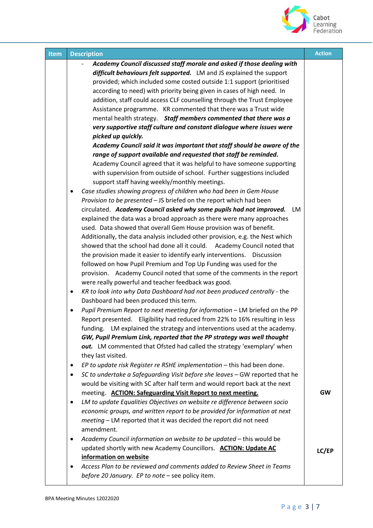

| <b>Item</b> | <b>Description</b>                                                                        | <b>Action</b> |
|-------------|-------------------------------------------------------------------------------------------|---------------|
|             | Academy Council discussed staff morale and asked if those dealing with                    |               |
|             | difficult behaviours felt supported. LM and JS explained the support                      |               |
|             | provided; which included some costed outside 1:1 support (prioritised                     |               |
|             | according to need) with priority being given in cases of high need. In                    |               |
|             | addition, staff could access CLF counselling through the Trust Employee                   |               |
|             | Assistance programme. KR commented that there was a Trust wide                            |               |
|             | mental health strategy. Staff members commented that there was a                          |               |
|             | very supportive staff culture and constant dialogue where issues were                     |               |
|             | picked up quickly.                                                                        |               |
|             | Academy Council said it was important that staff should be aware of the                   |               |
|             | range of support available and requested that staff be reminded.                          |               |
|             | Academy Council agreed that it was helpful to have someone supporting                     |               |
|             | with supervision from outside of school. Further suggestions included                     |               |
|             | support staff having weekly/monthly meetings.                                             |               |
|             | Case studies showing progress of children who had been in Gem House<br>٠                  |               |
|             | Provision to be presented - JS briefed on the report which had been                       |               |
|             | circulated. Academy Council asked why some pupils had not improved. LM                    |               |
|             | explained the data was a broad approach as there were many approaches                     |               |
|             | used. Data showed that overall Gem House provision was of benefit.                        |               |
|             | Additionally, the data analysis included other provision, e.g. the Nest which             |               |
|             | showed that the school had done all it could.  Academy Council noted that                 |               |
|             | the provision made it easier to identify early interventions.  Discussion                 |               |
|             | followed on how Pupil Premium and Top Up Funding was used for the                         |               |
|             | provision. Academy Council noted that some of the comments in the report                  |               |
|             | were really powerful and teacher feedback was good.                                       |               |
|             | KR to look into why Data Dashboard had not been produced centrally - the<br>٠             |               |
|             | Dashboard had been produced this term.                                                    |               |
|             | Pupil Premium Report to next meeting for information - LM briefed on the PP<br>٠          |               |
|             | Report presented. Eligibility had reduced from 22% to 16% resulting in less               |               |
|             | funding. LM explained the strategy and interventions used at the academy.                 |               |
|             | GW, Pupil Premium Link, reported that the PP strategy was well thought                    |               |
|             | out. LM commented that Ofsted had called the strategy 'exemplary' when                    |               |
|             | they last visited.                                                                        |               |
|             | EP to update risk Register re RSHE implementation - this had been done.<br>$\bullet$      |               |
|             | SC to undertake a Safeguarding Visit before she leaves - GW reported that he<br>$\bullet$ |               |
|             | would be visiting with SC after half term and would report back at the next               |               |
|             | meeting. <b>ACTION: Safeguarding Visit Report to next meeting.</b>                        | <b>GW</b>     |
|             | LM to update Equalities Objectives on website re difference between socio<br>٠            |               |
|             | economic groups, and written report to be provided for information at next                |               |
|             | meeting - LM reported that it was decided the report did not need                         |               |
|             | amendment.                                                                                |               |
|             | Academy Council information on website to be updated - this would be<br>٠                 |               |
|             | updated shortly with new Academy Councillors. ACTION: Update AC                           |               |
|             | information on website                                                                    | LC/EP         |
|             | Access Plan to be reviewed and comments added to Review Sheet in Teams                    |               |
|             | before 20 January. EP to note - see policy item.                                          |               |
|             |                                                                                           |               |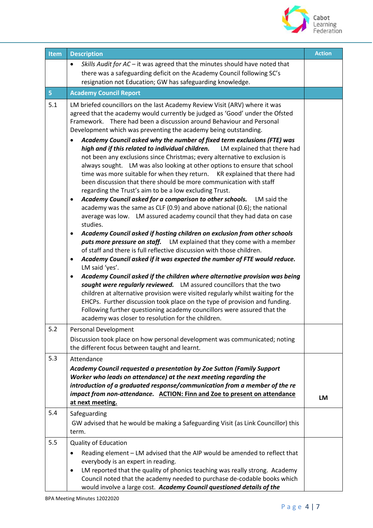

| <b>Item</b>    | <b>Description</b>                                                                                                                                                                                                                                                                                                                                                                                                                                                                                                                                                                                                                                                                                                                                                                                                                                                                                                                                                                                                                                                                                                                                                                                                                                                                                                                                                                                                                                                                                                                                                                                                                                                                                                                                                                                                                                                                            | <b>Action</b> |
|----------------|-----------------------------------------------------------------------------------------------------------------------------------------------------------------------------------------------------------------------------------------------------------------------------------------------------------------------------------------------------------------------------------------------------------------------------------------------------------------------------------------------------------------------------------------------------------------------------------------------------------------------------------------------------------------------------------------------------------------------------------------------------------------------------------------------------------------------------------------------------------------------------------------------------------------------------------------------------------------------------------------------------------------------------------------------------------------------------------------------------------------------------------------------------------------------------------------------------------------------------------------------------------------------------------------------------------------------------------------------------------------------------------------------------------------------------------------------------------------------------------------------------------------------------------------------------------------------------------------------------------------------------------------------------------------------------------------------------------------------------------------------------------------------------------------------------------------------------------------------------------------------------------------------|---------------|
|                | Skills Audit for AC - it was agreed that the minutes should have noted that<br>$\bullet$<br>there was a safeguarding deficit on the Academy Council following SC's                                                                                                                                                                                                                                                                                                                                                                                                                                                                                                                                                                                                                                                                                                                                                                                                                                                                                                                                                                                                                                                                                                                                                                                                                                                                                                                                                                                                                                                                                                                                                                                                                                                                                                                            |               |
|                | resignation not Education; GW has safeguarding knowledge.                                                                                                                                                                                                                                                                                                                                                                                                                                                                                                                                                                                                                                                                                                                                                                                                                                                                                                                                                                                                                                                                                                                                                                                                                                                                                                                                                                                                                                                                                                                                                                                                                                                                                                                                                                                                                                     |               |
| 5 <sub>1</sub> | <b>Academy Council Report</b>                                                                                                                                                                                                                                                                                                                                                                                                                                                                                                                                                                                                                                                                                                                                                                                                                                                                                                                                                                                                                                                                                                                                                                                                                                                                                                                                                                                                                                                                                                                                                                                                                                                                                                                                                                                                                                                                 |               |
| 5.1            | LM briefed councillors on the last Academy Review Visit (ARV) where it was<br>agreed that the academy would currently be judged as 'Good' under the Ofsted<br>Framework. There had been a discussion around Behaviour and Personal<br>Development which was preventing the academy being outstanding.<br>Academy Council asked why the number of fixed term exclusions (FTE) was<br>high and if this related to individual children.<br>LM explained that there had<br>not been any exclusions since Christmas; every alternative to exclusion is<br>always sought. LM was also looking at other options to ensure that school<br>time was more suitable for when they return.  KR explained that there had<br>been discussion that there should be more communication with staff<br>regarding the Trust's aim to be a low excluding Trust.<br>Academy Council asked for a comparison to other schools. LM said the<br>academy was the same as CLF (0.9) and above national (0.6); the national<br>average was low. LM assured academy council that they had data on case<br>studies.<br>Academy Council asked if hosting children on exclusion from other schools<br>puts more pressure on staff. LM explained that they come with a member<br>of staff and there is full reflective discussion with those children.<br>Academy Council asked if it was expected the number of FTE would reduce.<br>$\bullet$<br>LM said 'yes'.<br>Academy Council asked if the children where alternative provision was being<br>٠<br>sought were regularly reviewed. LM assured councillors that the two<br>children at alternative provision were visited regularly whilst waiting for the<br>EHCPs. Further discussion took place on the type of provision and funding.<br>Following further questioning academy councillors were assured that the<br>academy was closer to resolution for the children. |               |
| 5.2            | Personal Development                                                                                                                                                                                                                                                                                                                                                                                                                                                                                                                                                                                                                                                                                                                                                                                                                                                                                                                                                                                                                                                                                                                                                                                                                                                                                                                                                                                                                                                                                                                                                                                                                                                                                                                                                                                                                                                                          |               |
|                | Discussion took place on how personal development was communicated; noting<br>the different focus between taught and learnt.                                                                                                                                                                                                                                                                                                                                                                                                                                                                                                                                                                                                                                                                                                                                                                                                                                                                                                                                                                                                                                                                                                                                                                                                                                                                                                                                                                                                                                                                                                                                                                                                                                                                                                                                                                  |               |
| 5.3            | Attendance<br>Academy Council requested a presentation by Zoe Sutton (Family Support<br>Worker who leads on attendance) at the next meeting regarding the<br>introduction of a graduated response/communication from a member of the re<br>impact from non-attendance. ACTION: Finn and Zoe to present on attendance<br>at next meeting.                                                                                                                                                                                                                                                                                                                                                                                                                                                                                                                                                                                                                                                                                                                                                                                                                                                                                                                                                                                                                                                                                                                                                                                                                                                                                                                                                                                                                                                                                                                                                      |               |
| 5.4            | Safeguarding<br>GW advised that he would be making a Safeguarding Visit (as Link Councillor) this<br>term.                                                                                                                                                                                                                                                                                                                                                                                                                                                                                                                                                                                                                                                                                                                                                                                                                                                                                                                                                                                                                                                                                                                                                                                                                                                                                                                                                                                                                                                                                                                                                                                                                                                                                                                                                                                    |               |
| 5.5            | <b>Quality of Education</b><br>Reading element - LM advised that the AIP would be amended to reflect that<br>$\bullet$<br>everybody is an expert in reading.<br>LM reported that the quality of phonics teaching was really strong. Academy<br>$\bullet$<br>Council noted that the academy needed to purchase de-codable books which<br>would involve a large cost. Academy Council questioned details of the                                                                                                                                                                                                                                                                                                                                                                                                                                                                                                                                                                                                                                                                                                                                                                                                                                                                                                                                                                                                                                                                                                                                                                                                                                                                                                                                                                                                                                                                                 |               |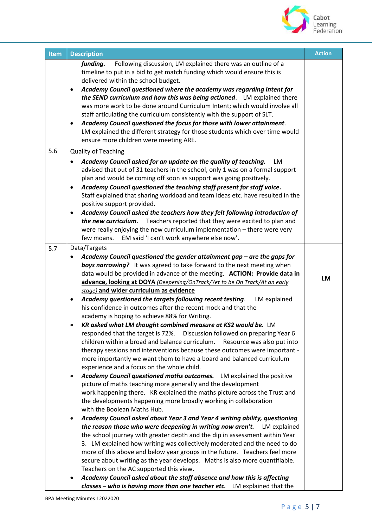

| <b>Item</b> | <b>Description</b>                                                                                                                                                                                                                                                                                                                                                                                                                                                                                                                                                                                                                                                                                                                                                                                                                                                                                                                                                                                                                                                                                                                                                                                                                                                                                                                                                                                                                                                                                                                                                                                                                                                                   | <b>Action</b> |
|-------------|--------------------------------------------------------------------------------------------------------------------------------------------------------------------------------------------------------------------------------------------------------------------------------------------------------------------------------------------------------------------------------------------------------------------------------------------------------------------------------------------------------------------------------------------------------------------------------------------------------------------------------------------------------------------------------------------------------------------------------------------------------------------------------------------------------------------------------------------------------------------------------------------------------------------------------------------------------------------------------------------------------------------------------------------------------------------------------------------------------------------------------------------------------------------------------------------------------------------------------------------------------------------------------------------------------------------------------------------------------------------------------------------------------------------------------------------------------------------------------------------------------------------------------------------------------------------------------------------------------------------------------------------------------------------------------------|---------------|
|             | Following discussion, LM explained there was an outline of a<br>funding.<br>timeline to put in a bid to get match funding which would ensure this is<br>delivered within the school budget.<br>Academy Council questioned where the academy was regarding Intent for<br>$\bullet$<br>the SEND curriculum and how this was being actioned. LM explained there<br>was more work to be done around Curriculum Intent; which would involve all<br>staff articulating the curriculum consistently with the support of SLT.<br>Academy Council questioned the focus for those with lower attainment.<br>٠<br>LM explained the different strategy for those students which over time would<br>ensure more children were meeting ARE.                                                                                                                                                                                                                                                                                                                                                                                                                                                                                                                                                                                                                                                                                                                                                                                                                                                                                                                                                        |               |
| 5.6         | <b>Quality of Teaching</b><br>Academy Council asked for an update on the quality of teaching.<br>LM<br>advised that out of 31 teachers in the school, only 1 was on a formal support<br>plan and would be coming off soon as support was going positively.<br>Academy Council questioned the teaching staff present for staff voice.<br>$\bullet$<br>Staff explained that sharing workload and team ideas etc. have resulted in the<br>positive support provided.<br>Academy Council asked the teachers how they felt following introduction of<br>$\bullet$<br>the new curriculum. Teachers reported that they were excited to plan and<br>were really enjoying the new curriculum implementation - there were very<br>EM said 'I can't work anywhere else now'.<br>few moans.                                                                                                                                                                                                                                                                                                                                                                                                                                                                                                                                                                                                                                                                                                                                                                                                                                                                                                      |               |
| 5.7         | Data/Targets                                                                                                                                                                                                                                                                                                                                                                                                                                                                                                                                                                                                                                                                                                                                                                                                                                                                                                                                                                                                                                                                                                                                                                                                                                                                                                                                                                                                                                                                                                                                                                                                                                                                         |               |
|             | Academy Council questioned the gender attainment gap - are the gaps for<br>boys narrowing? It was agreed to take forward to the next meeting when<br>data would be provided in advance of the meeting. ACTION: Provide data in<br>advance, looking at DOYA (Deepening/OnTrack/Yet to be On Track/At an early<br>stage) and wider curriculum as evidence                                                                                                                                                                                                                                                                                                                                                                                                                                                                                                                                                                                                                                                                                                                                                                                                                                                                                                                                                                                                                                                                                                                                                                                                                                                                                                                              | LM            |
|             | Academy questioned the targets following recent testing.<br>LM explained<br>$\bullet$<br>his confidence in outcomes after the recent mock and that the<br>academy is hoping to achieve 88% for Writing.<br>KR asked what LM thought combined measure at KS2 would be. LM<br>responded that the target is 72%. Discussion followed on preparing Year 6<br>children within a broad and balance curriculum.<br>Resource was also put into<br>therapy sessions and interventions because these outcomes were important -<br>more importantly we want them to have a board and balanced curriculum<br>experience and a focus on the whole child.<br>Academy Council questioned maths outcomes. LM explained the positive<br>$\bullet$<br>picture of maths teaching more generally and the development<br>work happening there. KR explained the maths picture across the Trust and<br>the developments happening more broadly working in collaboration<br>with the Boolean Maths Hub.<br>Academy Council asked about Year 3 and Year 4 writing ability, questioning<br>$\bullet$<br>the reason those who were deepening in writing now aren't.<br>LM explained<br>the school journey with greater depth and the dip in assessment within Year<br>3. LM explained how writing was collectively moderated and the need to do<br>more of this above and below year groups in the future. Teachers feel more<br>secure about writing as the year develops. Maths is also more quantifiable.<br>Teachers on the AC supported this view.<br>Academy Council asked about the staff absence and how this is affecting<br>classes - who is having more than one teacher etc. LM explained that the |               |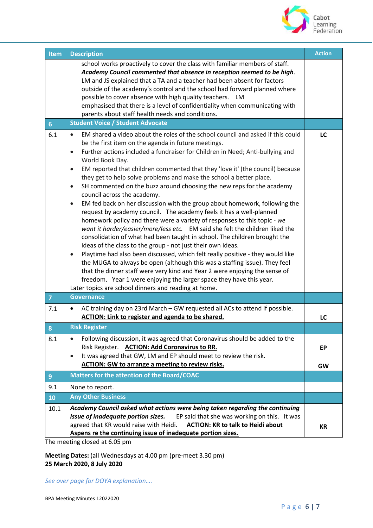

| <b>Item</b>    | <b>Description</b>                                                                                                                                                                                                                                                                                                                                                                                                                                                                                                                                                                                                                                                                                                                                                                                                                                                                                                                                                                                                                                                                                                                                                                                                                                                                                                                                                                                                                 | <b>Action</b>   |
|----------------|------------------------------------------------------------------------------------------------------------------------------------------------------------------------------------------------------------------------------------------------------------------------------------------------------------------------------------------------------------------------------------------------------------------------------------------------------------------------------------------------------------------------------------------------------------------------------------------------------------------------------------------------------------------------------------------------------------------------------------------------------------------------------------------------------------------------------------------------------------------------------------------------------------------------------------------------------------------------------------------------------------------------------------------------------------------------------------------------------------------------------------------------------------------------------------------------------------------------------------------------------------------------------------------------------------------------------------------------------------------------------------------------------------------------------------|-----------------|
|                | school works proactively to cover the class with familiar members of staff.<br>Academy Council commented that absence in reception seemed to be high.<br>LM and JS explained that a TA and a teacher had been absent for factors<br>outside of the academy's control and the school had forward planned where<br>possible to cover absence with high quality teachers. LM<br>emphasised that there is a level of confidentiality when communicating with<br>parents about staff health needs and conditions.                                                                                                                                                                                                                                                                                                                                                                                                                                                                                                                                                                                                                                                                                                                                                                                                                                                                                                                       |                 |
| 6 <sup>1</sup> | <b>Student Voice / Student Advocate</b>                                                                                                                                                                                                                                                                                                                                                                                                                                                                                                                                                                                                                                                                                                                                                                                                                                                                                                                                                                                                                                                                                                                                                                                                                                                                                                                                                                                            |                 |
| 6.1            | EM shared a video about the roles of the school council and asked if this could<br>$\bullet$<br>be the first item on the agenda in future meetings.<br>Further actions included a fundraiser for Children in Need; Anti-bullying and<br>$\bullet$<br>World Book Day.<br>EM reported that children commented that they 'love it' (the council) because<br>$\bullet$<br>they get to help solve problems and make the school a better place.<br>SH commented on the buzz around choosing the new reps for the academy<br>$\bullet$<br>council across the academy.<br>EM fed back on her discussion with the group about homework, following the<br>$\bullet$<br>request by academy council. The academy feels it has a well-planned<br>homework policy and there were a variety of responses to this topic - we<br>want it harder/easier/more/less etc. EM said she felt the children liked the<br>consolidation of what had been taught in school. The children brought the<br>ideas of the class to the group - not just their own ideas.<br>Playtime had also been discussed, which felt really positive - they would like<br>$\bullet$<br>the MUGA to always be open (although this was a staffing issue). They feel<br>that the dinner staff were very kind and Year 2 were enjoying the sense of<br>freedom. Year 1 were enjoying the larger space they have this year.<br>Later topics are school dinners and reading at home. | LC              |
| $\overline{7}$ | <b>Governance</b>                                                                                                                                                                                                                                                                                                                                                                                                                                                                                                                                                                                                                                                                                                                                                                                                                                                                                                                                                                                                                                                                                                                                                                                                                                                                                                                                                                                                                  |                 |
| 7.1            | AC training day on 23rd March - GW requested all ACs to attend if possible.<br>$\bullet$<br><b>ACTION: Link to register and agenda to be shared.</b>                                                                                                                                                                                                                                                                                                                                                                                                                                                                                                                                                                                                                                                                                                                                                                                                                                                                                                                                                                                                                                                                                                                                                                                                                                                                               | LC              |
| 8              | <b>Risk Register</b>                                                                                                                                                                                                                                                                                                                                                                                                                                                                                                                                                                                                                                                                                                                                                                                                                                                                                                                                                                                                                                                                                                                                                                                                                                                                                                                                                                                                               |                 |
| 8.1            | Following discussion, it was agreed that Coronavirus should be added to the<br>$\bullet$<br>Risk Register. ACTION: Add Coronavirus to RR.<br>It was agreed that GW, LM and EP should meet to review the risk.<br>$\bullet$<br>ACTION: GW to arrange a meeting to review risks.                                                                                                                                                                                                                                                                                                                                                                                                                                                                                                                                                                                                                                                                                                                                                                                                                                                                                                                                                                                                                                                                                                                                                     | EP<br><b>GW</b> |
| $\overline{9}$ | <b>Matters for the attention of the Board/COAC</b>                                                                                                                                                                                                                                                                                                                                                                                                                                                                                                                                                                                                                                                                                                                                                                                                                                                                                                                                                                                                                                                                                                                                                                                                                                                                                                                                                                                 |                 |
| 9.1            | None to report.                                                                                                                                                                                                                                                                                                                                                                                                                                                                                                                                                                                                                                                                                                                                                                                                                                                                                                                                                                                                                                                                                                                                                                                                                                                                                                                                                                                                                    |                 |
| 10             | <b>Any Other Business</b>                                                                                                                                                                                                                                                                                                                                                                                                                                                                                                                                                                                                                                                                                                                                                                                                                                                                                                                                                                                                                                                                                                                                                                                                                                                                                                                                                                                                          |                 |
| 10.1           | Academy Council asked what actions were being taken regarding the continuing<br>EP said that she was working on this. It was<br>issue of inadequate portion sizes.<br>agreed that KR would raise with Heidi.<br><b>ACTION: KR to talk to Heidi about</b><br>Aspens re the continuing issue of inadequate portion sizes.                                                                                                                                                                                                                                                                                                                                                                                                                                                                                                                                                                                                                                                                                                                                                                                                                                                                                                                                                                                                                                                                                                            | <b>KR</b>       |

The meeting closed at 6.05 pm

**Meeting Dates:** (all Wednesdays at 4.00 pm (pre-meet 3.30 pm) **25 March 2020, 8 July 2020**

*See over page for DOYA explanation….*